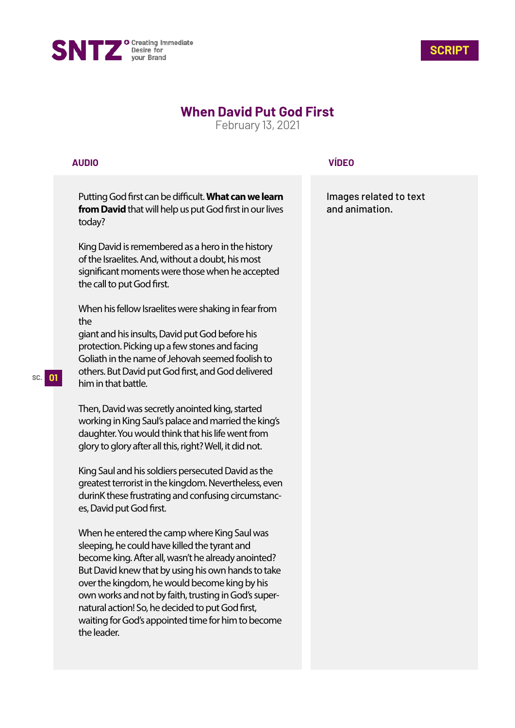



## **When David Put God First**

February 13, 2021

## **AUDIO**

Putting God first can be difficult. What can we learn **from David** that will help us put God first in our lives today?

King David is remembered as a hero in the history of the Israelites. And, without a doubt, his most significant moments were those when he accepted the call to put God first.

When his fellow Israelites were shaking in fear from the

giant and his insults, David put God before his protection. Picking up a few stones and facing Goliath in the name of Jehovah seemed foolish to others. But David put God first, and God delivered him in that battle.

Then, David was secretly anointed king, started working in King Saul's palace and married the king's daughter. You would think that his life went from glory to glory after all this, right? Well, it did not.

King Saul and his soldiers persecuted David as the greatest terrorist in the kingdom. Nevertheless, even durinK these frustrating and confusing circumstances, David put God first.

When he entered the camp where King Saul was sleeping, he could have killed the tyrant and become king. After all, wasn't he already anointed? But David knew that by using his own hands to take over the kingdom, he would become king by his own works and not by faith, trusting in God's supernatural action! So, he decided to put God first, waiting for God's appointed time for him to become the leader.

## **VÍDEO**

Images related to text and animation.